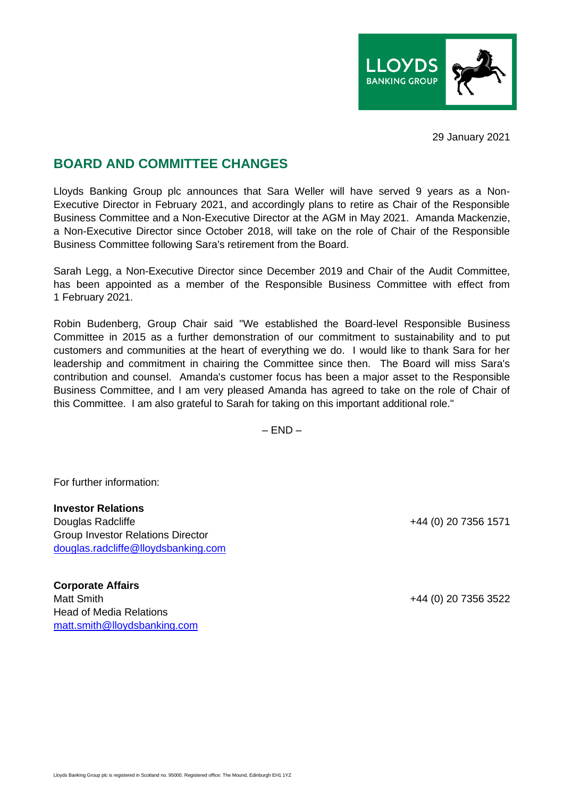

29 January 2021

## **BOARD AND COMMITTEE CHANGES**

Lloyds Banking Group plc announces that Sara Weller will have served 9 years as a Non-Executive Director in February 2021, and accordingly plans to retire as Chair of the Responsible Business Committee and a Non-Executive Director at the AGM in May 2021. Amanda Mackenzie, a Non-Executive Director since October 2018, will take on the role of Chair of the Responsible Business Committee following Sara's retirement from the Board.

Sarah Legg, a Non-Executive Director since December 2019 and Chair of the Audit Committee, has been appointed as a member of the Responsible Business Committee with effect from 1 February 2021.

Robin Budenberg, Group Chair said "We established the Board-level Responsible Business Committee in 2015 as a further demonstration of our commitment to sustainability and to put customers and communities at the heart of everything we do. I would like to thank Sara for her leadership and commitment in chairing the Committee since then. The Board will miss Sara's contribution and counsel. Amanda's customer focus has been a major asset to the Responsible Business Committee, and I am very pleased Amanda has agreed to take on the role of Chair of this Committee. I am also grateful to Sarah for taking on this important additional role."

 $-$  FND  $-$ 

For further information:

**Investor Relations** Douglas Radcliffe +44 (0) 20 7356 1571 Group Investor Relations Director [douglas.radcliffe@lloydsbanking.com](mailto:douglas.radcliffe@lloydsbanking.com)

**Corporate Affairs** Matt Smith +44 (0) 20 7356 3522 Head of Media Relations [matt.smith@lloydsbanking.com](mailto:matt.smith@lloydsbanking.com)